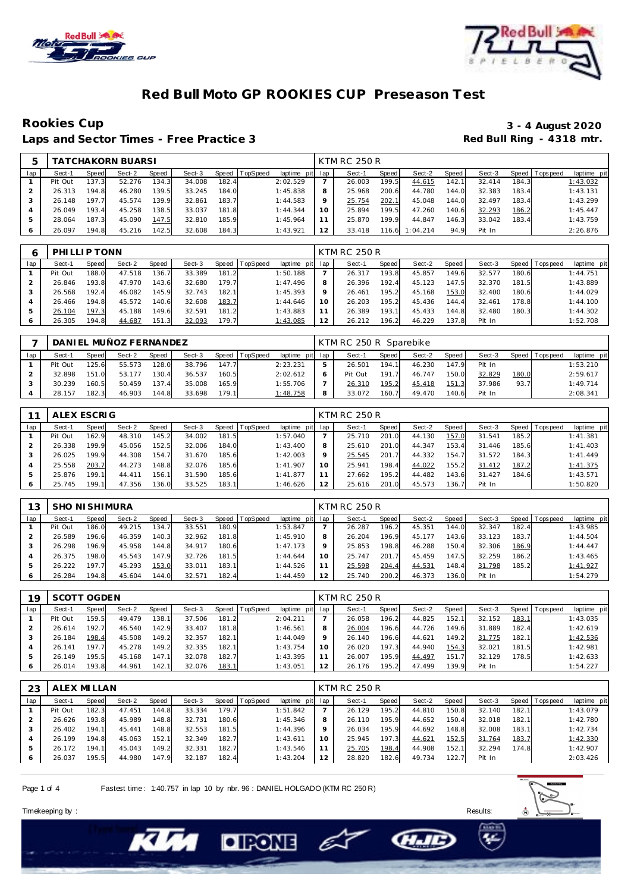



## **Red Bull Moto GP ROOKIES CUP Preseason Test**

Laps and Sector Times - Free Practice 3

# Rookies Cup<br>
1992 - 3 - 4 August 2020<br>
Red Bull Ring - 4318 mtr.

|     |         |       | <b>TATCHAKORN BUARSI</b> |       |        |       |                  |                 |                 | KTM RC 250 R |       |          |       |        |       |                |             |
|-----|---------|-------|--------------------------|-------|--------|-------|------------------|-----------------|-----------------|--------------|-------|----------|-------|--------|-------|----------------|-------------|
| lap | Sect-1  | Speed | Sect-2                   | Speed | Sect-3 |       | Speed   TopSpeed | laptime pit lap |                 | Sect-1       | Speed | Sect-2   | Speed | Sect-3 |       | Speed Topspeed | laptime pit |
|     | Pit Out | 137.3 | 52.276                   | 134.3 | 34.008 | 182.4 |                  | 2:02.529        |                 | 26.003       | 199.5 | 44.615   | 142.1 | 32.414 | 184.3 |                | 1:43.032    |
|     | 26.313  | 194.8 | 46.280                   | 139.5 | 33.245 | 184.0 |                  | 1:45.838        | 8               | 25.968       | 200.6 | 44.780   | 144.0 | 32.383 | 183.4 |                | 1:43.131    |
|     | 26.148  | 197.7 | 45.574                   | 139.9 | 32.861 | 183.7 |                  | 1:44.583        | Q               | 25.754       | 202.1 | 45.048   | 144.0 | 32.497 | 183.4 |                | 1:43.299    |
|     | 26.049  | 193.4 | 45.258                   | 138.5 | 33.037 | 181.8 |                  | 1:44.344        | 10 <sup>°</sup> | 25.894       | 199.5 | 47.260   | 140.6 | 32.293 | 186.2 |                | 1:45.447    |
|     | 28.064  | 187.3 | 45.090                   | 147.5 | 32.810 | 185.9 |                  | 1:45.964        |                 | 25.870       | 199.9 | 44.847   | 146.3 | 33.042 | 183.4 |                | 1:43.759    |
|     | 26.097  | 194.8 | 45.216                   | 142.5 | 32.608 | 184.3 |                  | 1:43.921        | 12              | 33.418       | 116.6 | 1:04.214 | 94.9  | Pit In |       |                | 2:26.876    |

|     | PHILLIP TONN |       |        |       |        |       |                |                 |    | KTM RC 250 R |       |        |       |        |       |           |             |
|-----|--------------|-------|--------|-------|--------|-------|----------------|-----------------|----|--------------|-------|--------|-------|--------|-------|-----------|-------------|
| lap | Sect-1       | Speed | Sect-2 | Speed | Sect-3 |       | Speed TopSpeed | laptime pit lap |    | Sect-1       | Speed | Sect-2 | Speed | Sect-3 | Speed | Tops peed | laptime pit |
|     | Pit Out      | 188.0 | 47.518 | 136.7 | 33.389 | 181.2 |                | 1:50.188        |    | 26.317       | 193.8 | 45.857 | 149.6 | 32.577 | 180.6 |           | 1:44.751    |
|     | 26.846       | 193.8 | 47.970 | 143.6 | 32.680 | 179.7 |                | 1:47.496        | 8  | 26.396       | 192.4 | 45.123 | 147.5 | 32.370 | 181.5 |           | 1:43.889    |
|     | 26.568       | 192.4 | 46.082 | 145.9 | 32.743 | 182.1 |                | 1:45.393        | Q  | 26.461       | 195.2 | 45.168 | 153.0 | 32.400 | 180.6 |           | 1:44.029    |
|     | 26.466       | 194.8 | 45.572 | 140.6 | 32.608 | 183.7 |                | 1:44.646        | 10 | 26.203       | 195.2 | 45.436 | 144.4 | 32.461 | 178.8 |           | 1:44.100    |
|     | 26.104       | 197.3 | 45.188 | 149.6 | 32.591 | 181.2 |                | 1:43.883        |    | 26.389       | 193.1 | 45.433 | 144.8 | 32.480 | 180.3 |           | 1:44.302    |
| O   | 26.305       | 194.8 | 44.687 | 151.3 | 32.093 | 179.7 |                | 1:43.085        | 12 | 26.212       | 196.2 | 46.229 | 137.8 | Pit In |       |           | 1:52.708    |

|     |         |       | DANI EL MUÑOZ FERNANDEZ |              |        |       |                |                 |   | KTM RC 250 R Sparebike |       |        |       |        |       |                 |             |
|-----|---------|-------|-------------------------|--------------|--------|-------|----------------|-----------------|---|------------------------|-------|--------|-------|--------|-------|-----------------|-------------|
| lap | Sect-1  | Speed | Sect-2                  | <b>Speed</b> | Sect-3 |       | Speed TopSpeed | laptime pit lap |   | Sect-1                 | Speed | Sect-2 | Speed | Sect-3 |       | Speed Tops peed | laptime pit |
|     | Pit Out | 125.6 | 55.573                  | 128.0        | 38.796 | 147.7 |                | 2:23.231        |   | 26.501                 | 194.1 | 46.230 | 147.9 | Pit In |       |                 | 1:53.210    |
|     | 32.898  | 151.0 | 53.177                  | 130.4        | 36.537 | 160.5 |                | 2:02.612        | 6 | Pit Out                | 191.7 | 46.747 | 150.0 | 32.829 | 180.0 |                 | 2:59.617    |
|     | 30.239  | 160.5 | 50.459                  | 137.4        | 35.008 | 165.9 |                | 1:55.706        |   | 26.310                 | 195.2 | 45.418 | 151.3 | 37.986 | 93.7  |                 | 1:49.714    |
|     | 28.157  | 182.3 | 46.903                  | 144.8        | 33.698 | 179.1 |                | 1:48.758        | 8 | 33.072                 | 160.7 | 49.470 | 140.6 | Pit In |       |                 | 2:08.341    |

|               | ALEX ESCRIG |       |        |       |        |       |                  |                 |    | <b>KTM RC 250 R</b> |         |        |       |        |       |                |             |
|---------------|-------------|-------|--------|-------|--------|-------|------------------|-----------------|----|---------------------|---------|--------|-------|--------|-------|----------------|-------------|
| lap           | Sect-1      | Speed | Sect-2 | Speed | Sect-3 |       | Speed   TopSpeed | laptime pit lap |    | Sect-1              | Speed I | Sect-2 | Speed | Sect-3 |       | Speed Topspeed | laptime pit |
|               | Pit Out     | 162.9 | 48.310 | 145.2 | 34.002 | 181.5 |                  | 1:57.040        |    | 25.710              | 201.0   | 44.130 | 157.0 | 31.541 | 185.2 |                | 1:41.381    |
|               | 26.338      | 199.9 | 45.056 | 152.5 | 32.006 | 184.0 |                  | 1:43.400        | 8  | 25.610              | 201.0   | 44.347 | 153.4 | 31.446 | 185.6 |                | 1:41.403    |
|               | 26.025      | 199.9 | 44.308 | 154.7 | 31.670 | 185.6 |                  | 1:42.003        |    | 25.545              | 201.7   | 44.332 | 154.7 | 31.572 | 184.3 |                | 1: 41.449   |
|               | 25.558      | 203.7 | 44.273 | 148.8 | 32.076 | 185.6 |                  | 1:41.907        | 10 | 25.941              | 198.4   | 44.022 | 155.2 | 31.412 | 187.2 |                | 1:41.375    |
| $\mathcal{P}$ | 25.876      | 199.1 | 44.411 | 156.1 | 31.590 | 185.6 |                  | 1:41.877        |    | 27.662              | 195.2   | 44.482 | 143.6 | 31.427 | 184.6 |                | 1:43.571    |
| 6             | 25.745      | 199.1 | 47.356 | 136.0 | 33.525 | 183.1 |                  | 1:46.626        | 12 | 25.616              | 201.0   | 45.573 | 136.7 | Pit In |       |                | 1:50.820    |

| 13            | <b>SHO NI SHIMURA</b> |       |        |       |        |       |                  |             |     | KTM RC 250 R |              |        |       |        |       |                |             |
|---------------|-----------------------|-------|--------|-------|--------|-------|------------------|-------------|-----|--------------|--------------|--------|-------|--------|-------|----------------|-------------|
| lap           | Sect-1                | Speed | Sect-2 | Speed | Sect-3 |       | Speed   TopSpeed | laptime pit | lap | Sect-1       | <b>Speed</b> | Sect-2 | Speed | Sect-3 |       | Speed Topspeed | laptime pit |
|               | Pit Out               | 186.0 | 49.215 | 134.7 | 33.551 | 180.9 |                  | 1:53.847    |     | 26.287       | 196.2        | 45.351 | 144.0 | 32.347 | 182.4 |                | 1:43.985    |
|               | 26.589                | 196.6 | 46.359 | 140.3 | 32.962 | 181.8 |                  | 1:45.910    | 8   | 26.204       | 196.9        | 45.177 | 143.6 | 33.123 | 183.7 |                | 1:44.504    |
|               | 26.298                | 196.9 | 45.958 | 144.8 | 34.917 | 180.6 |                  | 1:47.173    | Q   | 25.853       | 198.8        | 46.288 | 150.4 | 32.306 | 186.9 |                | 1:44.447    |
|               | 26.375                | 198.0 | 45.543 | 147.9 | 32.726 | 181.5 |                  | 1:44.644    | 10  | 25.747       | 201.7        | 45.459 | 147.5 | 32.259 | 186.2 |                | 1:43.465    |
| $\mathcal{P}$ | 26.222                | 197.7 | 45.293 | 153.0 | 33.011 | 183.1 |                  | 1:44.526    | 11  | 25.598       | 204.4        | 44.531 | 148.4 | 31.798 | 185.2 |                | 1:41.927    |
| 6             | 26.284                | 194.8 | 45.604 | 144.0 | 32.571 | 182.4 |                  | 1:44.459    | 12  | 25.740       | 200.2        | 46.373 | 136.0 | Pit In |       |                | 1:54.279    |

| 19            | SCOTT OGDEN |       |        |       |        |       |          |                 |         | KTM RC 250 R |       |        |       |        |       |                 |             |
|---------------|-------------|-------|--------|-------|--------|-------|----------|-----------------|---------|--------------|-------|--------|-------|--------|-------|-----------------|-------------|
| lap           | Sect-1      | Speed | Sect-2 | Speed | Sect-3 | Speed | TopSpeed | laptime pit lap |         | Sect-1       | Speed | Sect-2 | Speed | Sect-3 |       | Speed Tops peed | laptime pit |
|               | Pit Out     | 159.5 | 49.479 | 138.1 | 37.506 | 181.2 |          | 2:04.211        |         | 26.058       | 196.2 | 44.825 | 152.1 | 32.152 | 183.1 |                 | 1:43.035    |
|               | 26.614      | 192.7 | 46.540 | 142.9 | 33.407 | 181.8 |          | 1:46.561        | 8       | 26.004       | 196.6 | 44.726 | 149.6 | 31.889 | 182.4 |                 | 1:42.619    |
|               | 26.184      | 198.4 | 45.508 | 149.2 | 32.357 | 182.1 |          | 1:44.049        | $\circ$ | 26.140       | 196.6 | 44.621 | 149.2 | 31.775 | 182.1 |                 | 1:42.536    |
|               | 26.141      | 197.7 | 45.278 | 149.2 | 32.335 | 182.1 |          | 1:43.754        | 10      | 26.020       | 197.3 | 44.940 | 154.3 | 32.021 | 181.5 |                 | 1:42.981    |
| $\mathcal{P}$ | 26.149      | 195.5 | 45.168 | 147.1 | 32.078 | 182.7 |          | 1:43.395        |         | 26.007       | 195.9 | 44.497 | 151.7 | 32.129 | 178.5 |                 | 1:42.633    |
| 6             | 26.014      | 193.8 | 44.961 | 142.1 | 32.076 | 183.1 |          | 1:43.051        | 12      | 26.176       | 195.2 | 47.499 | 139.9 | Pit In |       |                 | 1:54.227    |

| 23  | ALEX MILLAN |       |        |       |        |       |          |                 |         | KTM RC 250 R |       |        |       |        |       |                 |             |
|-----|-------------|-------|--------|-------|--------|-------|----------|-----------------|---------|--------------|-------|--------|-------|--------|-------|-----------------|-------------|
| lap | Sect-1      | Speed | Sect-2 | Speed | Sect-3 | Speed | TopSpeed | laptime pit lap |         | Sect-1       | Speed | Sect-2 | Speed | Sect-3 |       | Speed Tops peed | laptime pit |
|     | Pit Out     | 182.3 | 47.451 | 144.8 | 33.334 | 179.7 |          | 1:51.842        |         | 26.129       | 195.2 | 44.810 | 150.8 | 32.140 | 182.1 |                 | 1:43.079    |
|     | 26.626      | 193.8 | 45.989 | 148.8 | 32.731 | 180.6 |          | 1:45.346        | 8       | 26.110       | 195.9 | 44.652 | 150.4 | 32.018 | 182.1 |                 | 1:42.780    |
|     | 26.402      | 194.1 | 45.441 | 148.8 | 32.553 | 181.5 |          | 1:44.396        | $\circ$ | 26.034       | 195.9 | 44.692 | 148.8 | 32.008 | 183.1 |                 | 1:42.734    |
|     | 26.199      | 194.8 | 45.063 | 152.1 | 32.349 | 182.7 |          | 1:43.611        | 10      | 25.945       | 197.3 | 44.621 | 152.5 | 31.764 | 183.7 |                 | 1:42.330    |
|     | 26.172      | 194.1 | 45.043 | 149.2 | 32.331 | 182.7 |          | 1:43.546        |         | 25.705       | 198.4 | 44.908 | 152.1 | 32.294 | 174.8 |                 | 1:42.907    |
| 6   | 26.037      | 195.5 | 44.980 | 147.9 | 32.187 | 182.4 |          | 1:43.204        | 12      | 28.820       | 182.6 | 49.734 | 122.7 | Pit In |       |                 | 2:03.426    |
|     |             |       |        |       |        |       |          |                 |         |              |       |        |       |        |       |                 |             |

E

**CHAID** 

Page 1 of 4 Fastest time : 1:40.757 in lap 10 by nbr. 96 : DANIEL HOLGADO (KTM RC 250 R)

**DIRONE** 



Timekeeping by : Results: Results: Results: Results: Results: Results: Results: Results: Results: Results: Results: Results: Results: Results: Results: Results: Results: Results: Results: Results: Results: Results: Results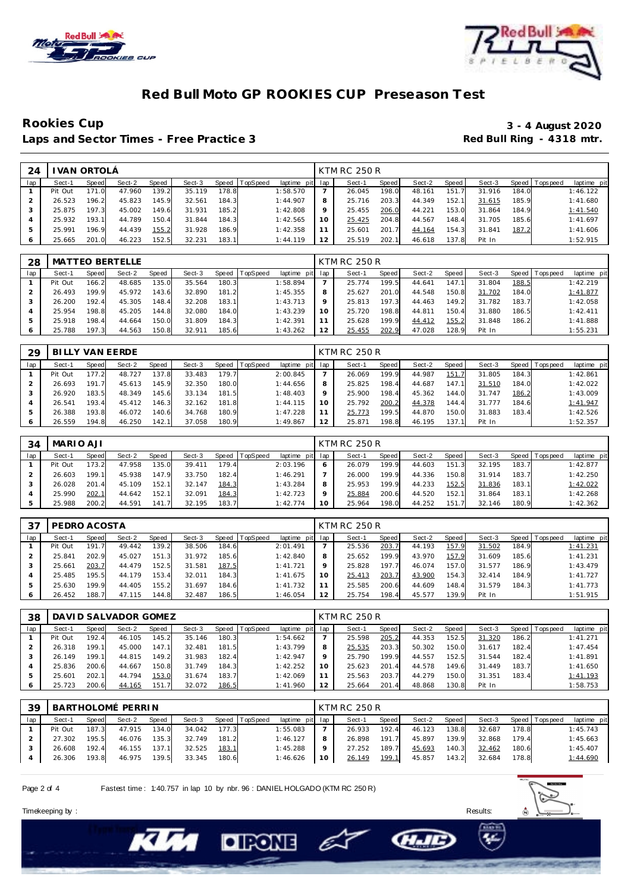



## **Red Bull Moto GP ROOKIES CUP Preseason Test**

### **Rookies Cup 3 - 4 August 2020** Laps and Sector Times - Free Practice 3 **Red Bull Ring - 4318 mtr.**

| 24  |         | I VAN ORTOLÂ |        |       |        |       |                  |             |     | KTM RC 250 R |         |        |       |        |       |                 |             |
|-----|---------|--------------|--------|-------|--------|-------|------------------|-------------|-----|--------------|---------|--------|-------|--------|-------|-----------------|-------------|
| lap | Sect-1  | Speed        | Sect-2 | Speed | Sect-3 |       | Speed   TopSpeed | laptime pit | lap | Sect-1       | Speed I | Sect-2 | Speed | Sect-3 |       | Speed Tops peed | laptime pit |
|     | Pit Out | 171.0        | 47.960 | 139.2 | 35.119 | 178.8 |                  | 1:58.570    |     | 26.045       | 198.0   | 48.161 | 151.7 | 31.916 | 184.0 |                 | 1:46.122    |
|     | 26.523  | 196.2        | 45.823 | 145.9 | 32.561 | 184.3 |                  | 1:44.907    | 8   | 25.716       | 203.3   | 44.349 | 152.1 | 31.615 | 185.9 |                 | 1:41.680    |
|     | 25.875  | 197.3        | 45.002 | 149.6 | 31.931 | 185.2 |                  | 1:42.808    | 9   | 25.455       | 206.0   | 44.221 | 153.0 | 31.864 | 184.9 |                 | 1:41.540    |
|     | 25.932  | 193.1        | 44.789 | 150.4 | 31.844 | 184.3 |                  | 1:42.565    | 10  | 25.425       | 204.8   | 44.567 | 148.4 | 31.705 | 185.6 |                 | 1:41.697    |
| 5   | 25.991  | 196.9        | 44.439 | 155.2 | 31.928 | 186.9 |                  | 1:42.358    |     | 25.601       | 201.7   | 44.164 | 154.3 | 31.841 | 187.2 |                 | 1:41.606    |
| 6   | 25.665  | 201.0        | 46.223 | 152.5 | 32.231 | 183.1 |                  | 1:44.119    | 12  | 25.519       | 202.1   | 46.618 | 137.8 | Pit In |       |                 | 1:52.915    |

| 28  |         |       | MATTEO BERTELLE |       |        |       |          |                 |         | KTM RC 250 R |       |        |       |        |       |                   |             |
|-----|---------|-------|-----------------|-------|--------|-------|----------|-----------------|---------|--------------|-------|--------|-------|--------|-------|-------------------|-------------|
| lap | Sect-1  | Speed | Sect-2          | Speed | Sect-3 | Speed | TopSpeed | laptime pit lap |         | Sect-1       | Speed | Sect-2 | Speed | Sect-3 |       | Speed   Tops peed | laptime pit |
|     | Pit Out | 166.2 | 48.685          | 135.0 | 35.564 | 180.3 |          | 1:58.894        |         | 25.774       | 199.5 | 44.641 | 147.1 | 31.804 | 188.5 |                   | 1:42.219    |
|     | 26.493  | 199.9 | 45.972          | 143.6 | 32.890 | 181.2 |          | 1:45.355        | 8       | 25.627       | 201.0 | 44.548 | 150.8 | 31.702 | 184.0 |                   | 1:41.877    |
|     | 26.200  | 192.4 | 45.305          | 148.4 | 32.208 | 183.1 |          | 1:43.713        | $\circ$ | 25.813       | 197.3 | 44.463 | 149.2 | 31.782 | 183.7 |                   | 1:42.058    |
|     | 25.954  | 198.8 | 45.205          | 144.8 | 32.080 | 184.0 |          | 1:43.239        | 10      | 25.720       | 198.8 | 44.811 | 150.4 | 31.880 | 186.5 |                   | 1:42.411    |
|     | 25.918  | 198.4 | 44.664          | 150.0 | 31.809 | 184.3 |          | 1:42.391        |         | 25.628       | 199.9 | 44.412 | 155.2 | 31.848 | 186.2 |                   | 1:41.888    |
|     | 25.788  | 197.3 | 44.563          | 150.8 | 32.911 | 185.6 |          | 1:43.262        | 12      | 25.455       | 202.9 | 47.028 | 128.9 | Pit In |       |                   | 1:55.231    |

| 29  | BILLY VAN EERDE |       |        |       |        |       |          |             |     | KTM RC 250 R |       |        |       |        |       |            |             |
|-----|-----------------|-------|--------|-------|--------|-------|----------|-------------|-----|--------------|-------|--------|-------|--------|-------|------------|-------------|
| lap | Sect-1          | Speed | Sect-2 | Speed | Sect-3 | Speed | TopSpeed | laptime pit | lap | Sect-1       | Speed | Sect-2 | Speed | Sect-3 | Speed | Tops pee d | laptime pit |
|     | Pit Out         | 177.2 | 48.727 | 137.8 | 33.483 | 179.7 |          | 2:00.845    |     | 26.069       | 199.9 | 44.987 | 151.  | 31.805 | 184.3 |            | 1:42.861    |
|     | 26.693          | 191.7 | 45.613 | 145.9 | 32.350 | 180.0 |          | 1:44.656    | 8   | 25.825       | 198.4 | 44.687 | 147.  | 31.510 | 184.0 |            | 1:42.022    |
|     | 26.920          | 183.5 | 48.349 | 145.6 | 33.134 | 181.5 |          | 1:48.403    | 9   | 25.900       | 198.4 | 45.362 | 144.0 | 31.747 | 186.2 |            | 1:43.009    |
|     | 26.541          | 193.4 | 45.412 | 146.3 | 32.162 | 181.8 |          | 1:44.115    | 10  | 25.792       | 200.2 | 44.378 | 144.4 | 31.777 | 184.6 |            | 1:41.947    |
|     | 26.388          | 193.8 | 46.072 | 140.6 | 34.768 | 180.9 |          | 1:47.228    |     | 25.773       | 199.5 | 44.870 | 150.0 | 31.883 | 183.4 |            | 1:42.526    |
|     | 26.559          | 194.8 | 46.250 | 142.1 | 37.058 | 180.9 |          | 1:49.867    | 12  | 25.87'       | 198.8 | 46.195 | 137.  | Pit In |       |            | 1:52.357    |

| 34  | MARIO AJI |       |        |              |        |       |                |                 | KTM RC 250 R |         |        |       |        |       |                   |             |
|-----|-----------|-------|--------|--------------|--------|-------|----------------|-----------------|--------------|---------|--------|-------|--------|-------|-------------------|-------------|
| lap | Sect-′    | Speed | Sect-2 | <b>Speed</b> | Sect-3 |       | Speed TopSpeed | laptime pit lap | Sect-1       | Speed I | Sect-2 | Speed | Sect-3 |       | Speed   Tops peed | laptime pit |
|     | Pit Out   | 173.2 | 47.958 | 135.0        | 39.411 | 179.4 |                | 2:03.196        | 26.079       | 199.9   | 44.603 | 151.3 | 32.195 | 183.7 |                   | 1:42.877    |
|     | 26.603    | 199.1 | 45.938 | 147.9        | 33.750 | 182.4 |                | 1:46.291        | 26.000       | 199.9   | 44.336 | 150.8 | 31.914 | 183.7 |                   | 1:42.250    |
|     | 26.028    | 201.4 | 45.109 | 152.1        | 32.147 | 184.3 |                | 1:43.284        | 25.953       | 199.9   | 44.233 | 152.5 | 31.836 | 183.1 |                   | 1:42.022    |
|     | 25.990    | 202.1 | 44.642 | 152.1        | 32.091 | 184.3 |                | 1:42.723        | 25.884       | 200.6   | 44.520 | 152.1 | 31.864 | 183.1 |                   | 1:42.268    |
|     | 25.988    | 200.2 | 44.591 | 141.7        | 32.195 | 183.7 |                | 1:42.774        | 25.964       | 198.0   | 44.252 | 151.7 | 32.146 | 180.9 |                   | 1:42.362    |

| 37  | PEDRO ACOSTA |       |        |       |        |       |                  |                 |    | KTM RC 250 R |       |        |       |        |       |                |             |
|-----|--------------|-------|--------|-------|--------|-------|------------------|-----------------|----|--------------|-------|--------|-------|--------|-------|----------------|-------------|
| lap | Sect-1       | Speed | Sect-2 | Speed | Sect-3 |       | Speed   TopSpeed | laptime pit lap |    | Sect-1       | Speed | Sect-2 | Speed | Sect-3 |       | Speed Topspeed | laptime pit |
|     | Pit Out      | 191.7 | 49.442 | 139.2 | 38.506 | 184.6 |                  | 2:01.491        |    | 25.536       | 203.7 | 44.193 | 157.9 | 31.502 | 184.9 |                | 1:41.231    |
|     | 25.841       | 202.9 | 45.027 | 151.3 | 31.972 | 185.6 |                  | 1:42.840        |    | 25.652       | 199.9 | 43.970 | 157.9 | 31.609 | 185.6 |                | 1:41.231    |
|     | 25.661       | 203.7 | 44.479 | 152.5 | 31.581 | 187.5 |                  | 1:41.721        |    | 25.828       | 197.7 | 46.074 | 157.0 | 31.577 | 186.9 |                | 1:43.479    |
|     | 25.485       | 195.5 | 44.179 | 153.4 | 32.011 | 184.3 |                  | 1:41.675        | 10 | 25.413       | 203.7 | 43.900 | 154.3 | 32.414 | 184.9 |                | 1:41.727    |
|     | 25.630       | 199.9 | 44.405 | 155.2 | 31.697 | 184.6 |                  | 1:41.732        |    | 25.585       | 200.6 | 44.609 | 148.4 | 31.579 | 184.3 |                | 1:41.773    |
|     | 26.452       | 188.7 | 47.115 | 144.8 | 32.487 | 186.5 |                  | 1:46.054        |    | 25.754       | 198.4 | 45.577 | 139.9 | Pit In |       |                | 1:51.915    |

| 38  |         |       | DAVI D SALVADOR GOMEZ |       |        |       |          |             |         | KTM RC 250 R |       |        |       |        |       |                 |             |
|-----|---------|-------|-----------------------|-------|--------|-------|----------|-------------|---------|--------------|-------|--------|-------|--------|-------|-----------------|-------------|
| lap | Sect-1  | Speed | Sect-2                | Speed | Sect-3 | Speed | TopSpeed | laptime pit | lap     | Sect-1       | Speed | Sect-2 | Speed | Sect-3 |       | Speed Tops peed | laptime pit |
|     | Pit Out | 192.4 | 46.105                | 145.2 | 35.146 | 180.3 |          | 1:54.662    |         | 25.598       | 205.2 | 44.353 | 152.5 | 31.320 | 186.2 |                 | 1:41.271    |
|     | 26.318  | 199.1 | 45.000                | 147.1 | 32.481 | 181.5 |          | 1:43.799    | 8       | 25.535       | 203.3 | 50.302 | 150.0 | 31.617 | 182.4 |                 | 1:47.454    |
|     | 26.149  | 199.1 | 44.815                | 149.2 | 31.983 | 182.4 |          | 1:42.947    | $\circ$ | 25.790       | 199.9 | 44.557 | 152.5 | 31.544 | 182.4 |                 | 1:41.891    |
|     | 25.836  | 200.6 | 44.667                | 150.8 | 31.749 | 184.3 |          | 1:42.252    | 10      | 25.623       | 201.4 | 44.578 | 149.6 | 31.449 | 183.7 |                 | 1:41.650    |
|     | 25.601  | 202.1 | 44.794                | 153.0 | 31.674 | 183.7 |          | 1:42.069    |         | 25.563       | 203.7 | 44.279 | 150.0 | 31.351 | 183.4 |                 | 1:41.193    |
|     | 25.723  | 200.6 | 44.165                | 151.7 | 32.072 | 186.5 |          | 1:41.960    | 12      | 25.664       | 201.4 | 48.868 | 130.8 | Pit In |       |                 | 1:58.753    |

| 39  |         |       | BARTHOLOMÉ PERRIN |       |        |       |          |                 |    | KTM RC 250 R |         |        |         |        |       |                   |             |
|-----|---------|-------|-------------------|-------|--------|-------|----------|-----------------|----|--------------|---------|--------|---------|--------|-------|-------------------|-------------|
| lap | Sect-1  | Speed | Sect-2            | Speed | Sect-3 | Speed | TopSpeed | laptime pit lap |    | Sect-1       | Speed I | Sect-2 | Speed I | Sect-3 |       | Speed   Tops peed | laptime pit |
|     | Pit Out | 187.3 | 47.915            | 134.0 | 34.042 | 177.3 |          | 1:55.083        |    | 26.933       | 192.4   | 46.123 | 138.8   | 32.687 | 178.8 |                   | 1:45.743    |
|     | 27.302  | 195.5 | 46.076            | 135.3 | 32.749 | 181.2 |          | 1:46.127        |    | 26.898       | 191.7   | 45.897 | 139.9   | 32.868 | 179.4 |                   | 1:45.663    |
|     | 26.608  | 192.4 | 46.155            | 137.1 | 32.525 | 183.1 |          | 1:45.288        |    | 27.252       | 189.7   | 45.693 | 140.3   | 32.462 | 180.6 |                   | 1:45.407    |
|     | 26.306  | 193.8 | 46.975            | 139.5 | 33.345 | 180.6 |          | 1:46.626        | 10 | 26.149       | 199.1   | 45.857 | 143.2   | 32.684 | 178.8 |                   | 1:44.690    |
|     |         |       |                   |       |        |       |          |                 |    |              |         |        |         |        |       |                   |             |

– E

**CHAIC** 

Page 2 of 4 Fastest time : 1:40.757 in lap 10 by nbr. 96 : DANIEL HOLGADO (KTM RC 250 R)

**DIRONE** 



Timekeeping by : Results: Results: Results: Results: Results: Results: Results: Results: Results: Results: Results: Results: Results: Results: Results: Results: Results: Results: Results: Results: Results: Results: Results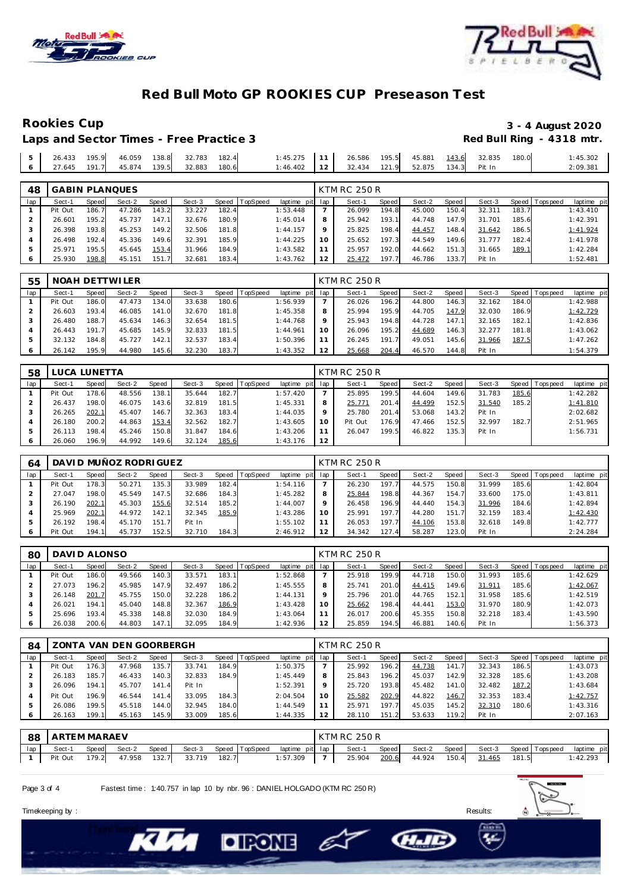

Laps and Sector Times - Free Practice 3



### **Red Bull Moto GP ROOKIES CUP Preseason Test**

# Rookies Cup<br>
1992 - 3 - 4 August 2020<br>
Red Bull Ring - 4318 mtr.

|  |  |  | 1:45.275 11 26.586 195.5 45.881 143.6 32.835 180.0 |  |  |  | 1:45.302 |
|--|--|--|----------------------------------------------------|--|--|--|----------|
|  |  |  | 1:46.402 12 32.434 121.9 52.875 134.3 Pit In       |  |  |  | 2:09.381 |

| 48  |         |       | <b>GABIN PLANQUES</b> |       |        |       |          |                 |         | KTM RC 250 R |       |        |         |        |       |                 |             |
|-----|---------|-------|-----------------------|-------|--------|-------|----------|-----------------|---------|--------------|-------|--------|---------|--------|-------|-----------------|-------------|
| lap | Sect-1  | Speed | Sect-2                | Speed | Sect-3 | Speed | TopSpeed | laptime pit lap |         | Sect-1       | Speed | Sect-2 | Speed ! | Sect-3 |       | Speed Tops peed | laptime pit |
|     | Pit Out | 186.7 | 47.286                | 143.2 | 33.227 | 182.4 |          | 1:53.448        |         | 26.099       | 194.8 | 45.000 | 150.4   | 32.311 | 183.7 |                 | 1:43.410    |
|     | 26.601  | 195.2 | 45.737                | 147.7 | 32.676 | 180.9 |          | 1:45.014        | 8       | 25.942       | 193.1 | 44.748 | 147.9   | 31.701 | 185.6 |                 | 1:42.391    |
|     | 26.398  | 193.8 | 45.253                | 149.2 | 32.506 | 181.8 |          | 1:44.157        | $\circ$ | 25.825       | 198.4 | 44.457 | 148.4   | 31.642 | 186.5 |                 | 1:41.924    |
|     | 26.498  | 192.4 | 45.336                | 149.6 | 32.391 | 185.9 |          | 1:44.225        |         | 25.652       | 197.3 | 44.549 | 149.6   | 31.777 | 182.4 |                 | 1:41.978    |
|     | 25.971  | 195.5 | 45.645                | 153.4 | 31.966 | 184.9 |          | 1:43.582        |         | 25.957       | 192.0 | 44.662 | 151.3   | 31.665 | 189.1 |                 | 1:42.284    |
|     | 25.930  | 198.8 | 45.151                | 151.7 | 32.681 | 183.4 |          | 1:43.762        |         | 25.472       | 197.7 | 46.786 | 133.7   | Pit In |       |                 | 1:52.481    |

| 55  |         |       | NOAH DETTWILER |       |        |       |                  |                 |         | KTM RC 250 R |       |        |       |        |       |                |             |
|-----|---------|-------|----------------|-------|--------|-------|------------------|-----------------|---------|--------------|-------|--------|-------|--------|-------|----------------|-------------|
| lap | Sect-1  | Speed | Sect-2         | Speed | Sect-3 |       | Speed   TopSpeed | laptime pit lap |         | Sect-1       | Speed | Sect-2 | Speed | Sect-3 |       | Speed Topspeed | laptime pit |
|     | Pit Out | 186.0 | 47.473         | 134.0 | 33.638 | 180.6 |                  | 1:56.939        |         | 26.026       | 196.2 | 44.800 | 146.3 | 32.162 | 184.0 |                | 1:42.988    |
|     | 26.603  | 193.4 | 46.085         | 141.0 | 32.670 | 181.8 |                  | 1:45.358        | 8       | 25.994       | 195.9 | 44.705 | 147.9 | 32.030 | 186.9 |                | 1:42.729    |
|     | 26.480  | 188.7 | 45.634         | 146.3 | 32.654 | 181.5 |                  | 1:44.768        | $\circ$ | 25.943       | 194.8 | 44.728 | 147.1 | 32.165 | 182.1 |                | 1:42.836    |
|     | 26.443  | 191.7 | 45.685         | 145.9 | 32.833 | 181.5 |                  | 1:44.961        | 10      | 26.096       | 195.2 | 44.689 | 146.3 | 32.277 | 181.8 |                | 1:43.062    |
|     | 32.132  | 184.8 | 45.727         | 142.1 | 32.537 | 183.4 |                  | 1:50.396        |         | 26.245       | 191.7 | 49.051 | 145.6 | 31.966 | 187.5 |                | 1:47.262    |
|     | 26.142  | 195.9 | 44.980         | 145.6 | 32.230 | 183.7 |                  | 1:43.352        | 12      | 25.668       | 204.4 | 46.570 | 144.8 | Pit In |       |                | 1:54.379    |

| 58  | LUCA LUNETTA |       |        |       |        |       |          |                 |    | <b>KTM RC 250 R</b> |       |        |       |        |       |            |             |
|-----|--------------|-------|--------|-------|--------|-------|----------|-----------------|----|---------------------|-------|--------|-------|--------|-------|------------|-------------|
| lap | Sect-1       | Speed | Sect-2 | Speed | Sect-3 | Speed | TopSpeed | laptime pit lap |    | Sect-1              | Speed | Sect-2 | Speed | Sect-3 | Speed | T ops peed | laptime pit |
|     | Pit Out      | 178.6 | 48.556 | 138.7 | 35.644 | 182.7 |          | 1:57.420        |    | 25.895              | 199.5 | 44.604 | 149.6 | 31.783 | 185.6 |            | 1:42.282    |
|     | 26.437       | 198.0 | 46.075 | 143.6 | 32.819 | 181.5 |          | 1:45.331        |    | 25.771              | 201.4 | 44.499 | 152.5 | 31.540 | 185.2 |            | 1:41.810    |
|     | 26.265       | 202.1 | 45.407 | 146.7 | 32.363 | 183.4 |          | 1:44.035        |    | 25.780              | 201.4 | 53.068 | 143.2 | Pit In |       |            | 2:02.682    |
|     | 26.180       | 200.2 | 44.863 | 153.4 | 32.562 | 182.7 |          | 1:43.605        | 10 | Pit Out             | 176.9 | 47.466 | 152.5 | 32.997 | 182.7 |            | 2:51.965    |
|     | 26.113       | 198.4 | 45.246 | 150.8 | 31.847 | 184.6 |          | 1:43.206        |    | 26.047              | 199.5 | 46.822 | 135.3 | Pit In |       |            | 1:56.731    |
|     | 26.060       | 196.9 | 44.992 | 149.6 | 32.124 | 185.6 |          | 1:43.176        |    |                     |       |        |       |        |       |            |             |

| 64  |         |        | DAVI D MUÑOZ RODRI GUEZ |       |        |       |                  |             |     | KTM RC 250 R |       |        |       |        |       |            |             |
|-----|---------|--------|-------------------------|-------|--------|-------|------------------|-------------|-----|--------------|-------|--------|-------|--------|-------|------------|-------------|
| lap | Sect-1  | Speed  | Sect-2                  | Speed | Sect-3 |       | Speed   TopSpeed | laptime pit | lap | Sect-1       | Speed | Sect-2 | Speed | Sect-3 | Speed | Tops pee d | laptime pit |
|     | Pit Out | 178.31 | 50.271                  | 135.3 | 33.989 | 182.4 |                  | 1:54.116    |     | 26.230       | 197.7 | 44.575 | 150.8 | 31.999 | 185.6 |            | 1:42.804    |
|     | 27.047  | 198.0  | 45.549                  | 147.5 | 32.686 | 184.3 |                  | 1:45.282    | 8   | 25.844       | 198.8 | 44.367 | 154.7 | 33.600 | 175.0 |            | 1:43.811    |
|     | 26.190  | 202.1  | 45.303                  | 155.6 | 32.514 | 185.2 |                  | 1:44.007    | 9   | 26.458       | 196.9 | 44.440 | 154.3 | 31.996 | 184.6 |            | 1:42.894    |
|     | 25.969  | 202.1  | 44.972                  | 142.1 | 32.345 | 185.9 |                  | 1:43.286    | 10  | 25.991       | 197.7 | 44.280 | 151   | 32.159 | 183.4 |            | 1:42.430    |
| ь   | 26.192  | 198.4  | 45.170                  | 151.7 | Pit In |       |                  | 1:55.102    |     | 26.053       | 197.7 | 44.106 | 153.8 | 32.618 | 149.8 |            | 1:42.777    |
|     | Pit Out | 194.1  | 45.737                  | 152.5 | 32.710 | 184.3 |                  | 2:46.912    | 12  | 34.342       | 127.4 | 58.287 | 123.0 | Pit In |       |            | 2:24.284    |

| 80  | DAVID ALONSO |       |        |       |        |       |          |             |         | KTM RC 250 R |       |        |       |        |       |                 |             |
|-----|--------------|-------|--------|-------|--------|-------|----------|-------------|---------|--------------|-------|--------|-------|--------|-------|-----------------|-------------|
| lap | Sect-1       | Speed | Sect-2 | Speed | Sect-3 | Speed | TopSpeed | laptime pit | lap     | Sect-1       | Speed | Sect-2 | Speed | Sect-3 |       | Speed Tops peed | laptime pit |
|     | Pit Out      | 186.0 | 49.566 | 140.3 | 33.571 | 183.1 |          | 1:52.868    |         | 25.918       | 199.9 | 44.718 | 150.0 | 31.993 | 185.6 |                 | 1:42.629    |
|     | 27.073       | 196.2 | 45.985 | 147.9 | 32.497 | 186.2 |          | 1:45.555    | 8       | 25.741       | 201.0 | 44.415 | 149.6 | 31.911 | 185.6 |                 | 1:42.067    |
|     | 26.148       | 201.7 | 45.755 | 150.0 | 32.228 | 186.2 |          | 1:44.131    | $\circ$ | 25.796       | 201.0 | 44.765 | 152.1 | 31.958 | 185.6 |                 | 1:42.519    |
|     | 26.021       | 194.1 | 45.040 | 148.8 | 32.367 | 186.9 |          | 1:43.428    | 10      | 25.662       | 198.4 | 44.441 | 153.0 | 31.970 | 180.9 |                 | 1:42.073    |
|     | 25.696       | 193.4 | 45.338 | 148.8 | 32.030 | 184.9 |          | 1:43.064    |         | 26.017       | 200.6 | 45.355 | 150.8 | 32.218 | 183.4 |                 | 1:43.590    |
|     | 26.038       | 200.6 | 44.803 | 147.1 | 32.095 | 184.9 |          | 1:42.936    | 12      | 25.859       | 194.5 | 46.881 | 140.6 | Pit In |       |                 | 1:56.373    |

| 84  |         |       | ZONTA VAN DEN GOORBERGH |       |        |       |          |             |     | KTM RC 250 R |       |        |       |        |       |                |             |
|-----|---------|-------|-------------------------|-------|--------|-------|----------|-------------|-----|--------------|-------|--------|-------|--------|-------|----------------|-------------|
| lap | Sect-1  | Speed | Sect-2                  | Speed | Sect-3 | Speed | TopSpeed | laptime pit | lap | Sect-1       | Speed | Sect-2 | Speed | Sect-3 |       | Speed Topspeed | laptime pit |
|     | Pit Out | 176.3 | 47.968                  | 135.7 | 33.741 | 184.9 |          | 1:50.375    |     | 25.992       | 196.2 | 44.738 | 141.7 | 32.343 | 186.5 |                | 1:43.073    |
|     | 26.183  | 185.7 | 46.433                  | 140.3 | 32.833 | 184.9 |          | 1:45.449    | 8   | 25.843       | 196.2 | 45.037 | 142.9 | 32.328 | 185.6 |                | 1:43.208    |
|     | 26.096  | 194.1 | 45.707                  | 141.4 | Pit In |       |          | 1:52.391    | 9   | 25.720       | 193.8 | 45.482 | 141.0 | 32.482 | 187.2 |                | 1:43.684    |
|     | Pit Out | 196.9 | 46.544                  | 141.4 | 33.095 | 184.3 |          | 2:04.504    | 10  | 25.582       | 202.9 | 44.822 | 146.7 | 32.353 | 183.4 |                | 1:42.757    |
| 5   | 26.086  | 199.5 | 45.518                  | 144.0 | 32.945 | 184.0 |          | 1:44.549    |     | 25.971       | 197.7 | 45.035 | 145.2 | 32.310 | 180.6 |                | 1:43.316    |
| 6   | 26.163  | 199.1 | 45.163                  | 145.9 | 33.009 | 185.6 |          | 1:44.335    | 12  | 28.110       | 151.2 | 53.633 | 119.2 | Pit In |       |                | 2:07.163    |

|     | 88 ARTEM MARAEV |       |              |       |        |       |                |                 | <b>KTM RC 250 R</b> |       |                     |       |                                    |       |             |
|-----|-----------------|-------|--------------|-------|--------|-------|----------------|-----------------|---------------------|-------|---------------------|-------|------------------------------------|-------|-------------|
| lap | Sect-1          | Speed | Sect-2       | Speed | Sect-3 |       | Speed TopSpeed | laptime pit lap | Sect-1              | Speed |                     |       | Sect-2 Speed Sect-3 Speed Topspeed |       | laptime pit |
|     | Pit Out         |       | 179.2 47.958 | 132.7 | 33.719 | 182.7 |                | 1:57.309        |                     |       | 25.904 200.6 44.924 | 150.4 | <u>31.465</u>                      | 181.5 | 1:42.293    |

C)

**CHAID** 

Page 3 of 4 Fastest time : 1:40.757 in lap 10 by nbr. 96 : DANIEL HOLGADO (KTM RC 250 R)

**DIRONE** 



Timekeeping by : Results: Results: Results: Results: Results: Results: Results: Results: Results: Results: Results: Results: Results: Results: Results: Results: Results: Results: Results: Results: Results: Results: Results